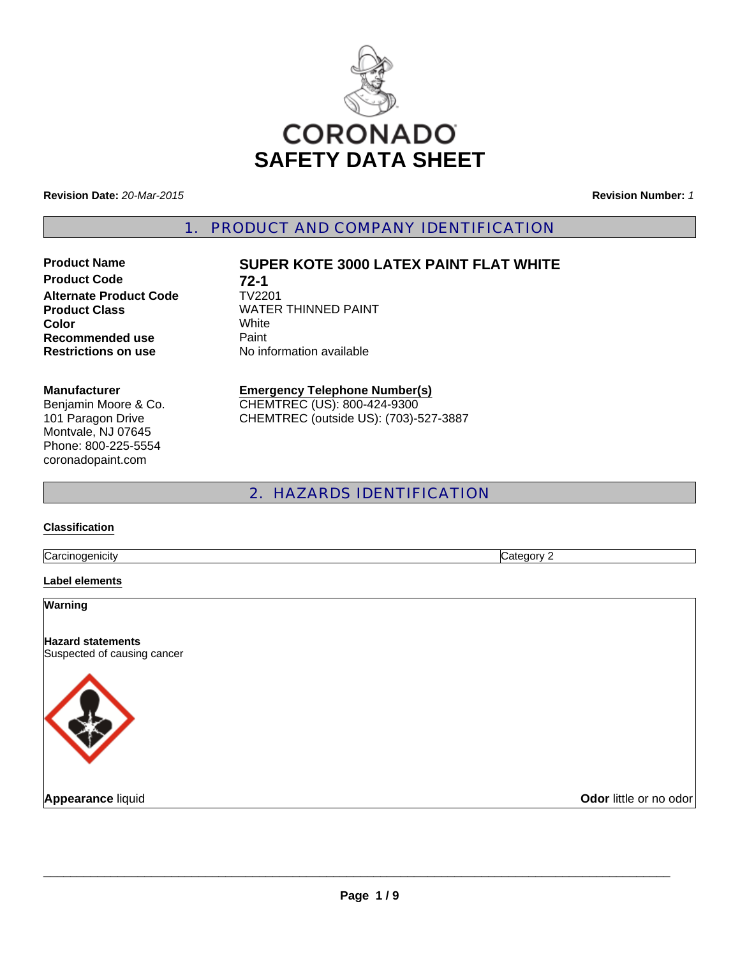

**Revision Date:** *20-Mar-2015*

**Alternate Product Code** 

**Revision Number:** *1*

1. PRODUCT AND COMPANY IDENTIFICATION

Benjamin Moore & Co. 101 Paragon Drive Montvale, NJ 07645 Phone: 800-225-5554

# **Product Name SUPER KOTE 3000 LATEX PAINT FLAT WHITE**

**Product Code 72-1**<br>Alternate Product Code **1V2201 Product Class WATER THINNED PAINT Color** White **Recommended use Paint Restrictions on use** No information available

## **Manufacturer**

coronadopaint.com

## **Emergency Telephone Number(s)** CHEMTREC (US): 800-424-9300

CHEMTREC (outside US): (703)-527-3887

# 2. HAZARDS IDENTIFICATION

#### **Classification**

**Carcinogenicity** Category 2

#### **Label elements**

**Warning**

**Hazard statements** Suspected of causing cancer



**Appearance liquid Odor little or no odor**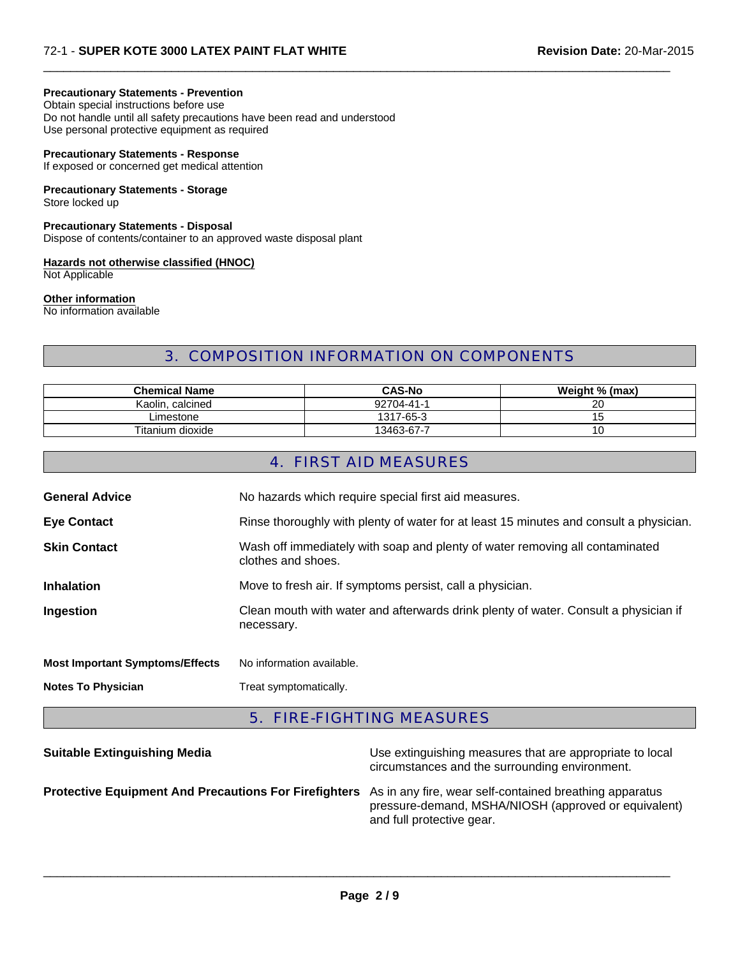## **Precautionary Statements - Prevention**

Obtain special instructions before use

Do not handle until all safety precautions have been read and understood Use personal protective equipment as required

## **Precautionary Statements - Response**

If exposed or concerned get medical attention

#### **Precautionary Statements - Storage**

Store locked up

**Precautionary Statements - Disposal** Dispose of contents/container to an approved waste disposal plant

#### **Hazards not otherwise classified (HNOC)** Not Applicable

**Other information**

No information available

# 3. COMPOSITION INFORMATION ON COMPONENTS

 $\Box$ 

| <b>Chemical Name</b> | <b>CAS-No</b> | Weight % (max) |
|----------------------|---------------|----------------|
| calcined<br>Kaolin.  | 92704-41-1    | 20             |
| Limestone            | 1317-65-3     | כ י            |
| Titanium dioxide     | 13463-67-7    | 10             |

## 4. FIRST AID MEASURES

| <b>General Advice</b>                  | No hazards which require special first aid measures.                                               |
|----------------------------------------|----------------------------------------------------------------------------------------------------|
| <b>Eye Contact</b>                     | Rinse thoroughly with plenty of water for at least 15 minutes and consult a physician.             |
| <b>Skin Contact</b>                    | Wash off immediately with soap and plenty of water removing all contaminated<br>clothes and shoes. |
| <b>Inhalation</b>                      | Move to fresh air. If symptoms persist, call a physician.                                          |
| Ingestion                              | Clean mouth with water and afterwards drink plenty of water. Consult a physician if<br>necessary.  |
| <b>Most Important Symptoms/Effects</b> | No information available.                                                                          |
| <b>Notes To Physician</b>              | Treat symptomatically.                                                                             |
|                                        |                                                                                                    |

# 5. FIRE-FIGHTING MEASURES

| <b>Suitable Extinguishing Media</b>                                                                           | Use extinguishing measures that are appropriate to local<br>circumstances and the surrounding environment. |
|---------------------------------------------------------------------------------------------------------------|------------------------------------------------------------------------------------------------------------|
| Protective Equipment And Precautions For Firefighters As in any fire, wear self-contained breathing apparatus | pressure-demand, MSHA/NIOSH (approved or equivalent)<br>and full protective gear.                          |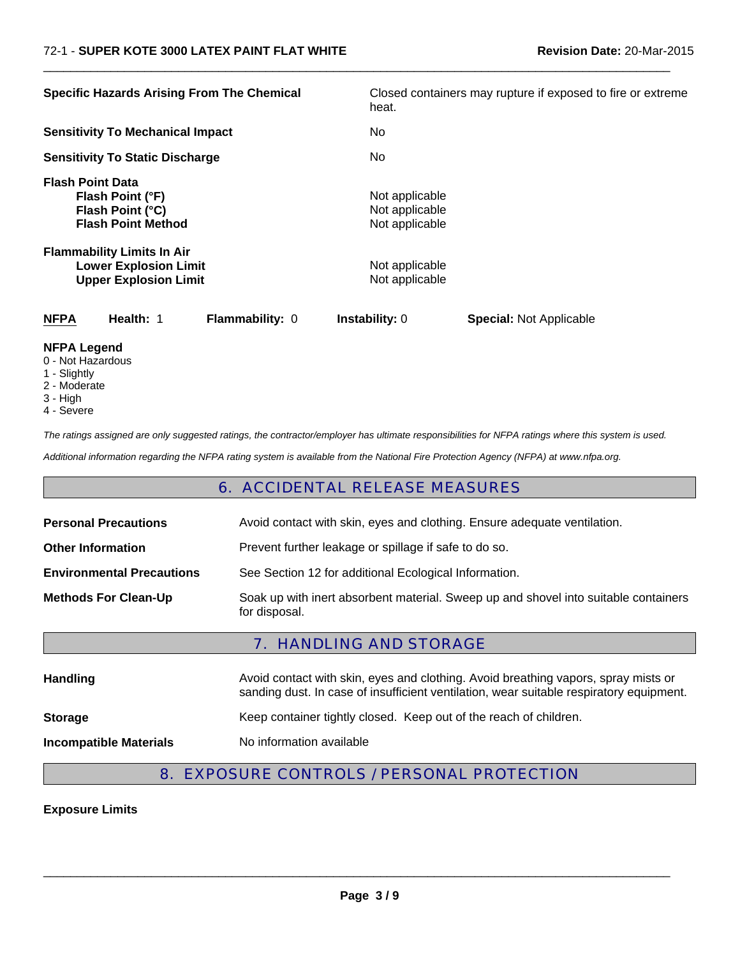| <b>Specific Hazards Arising From The Chemical</b>                                                 | Closed containers may rupture if exposed to fire or extreme<br>heat. |  |
|---------------------------------------------------------------------------------------------------|----------------------------------------------------------------------|--|
| <b>Sensitivity To Mechanical Impact</b>                                                           | No.                                                                  |  |
| <b>Sensitivity To Static Discharge</b>                                                            | No.                                                                  |  |
| <b>Flash Point Data</b><br>Flash Point (°F)<br>Flash Point (°C)<br><b>Flash Point Method</b>      | Not applicable<br>Not applicable<br>Not applicable                   |  |
| <b>Flammability Limits In Air</b><br><b>Lower Explosion Limit</b><br><b>Upper Explosion Limit</b> | Not applicable<br>Not applicable                                     |  |
| <b>NFPA</b><br>Health: 1<br><b>Flammability: 0</b>                                                | <b>Instability: 0</b><br><b>Special: Not Applicable</b>              |  |
| <b>NFPA Legend</b><br>0 - Not Hazardous<br>$\lambda$ $\Omega$ $\Omega$ $\Omega$ $\Omega$          |                                                                      |  |

 $\Box$ 

- 1 Slightly
- 2 Moderate
- 3 High
- 4 Severe

*The ratings assigned are only suggested ratings, the contractor/employer has ultimate responsibilities for NFPA ratings where this system is used.*

*Additional information regarding the NFPA rating system is available from the National Fire Protection Agency (NFPA) at www.nfpa.org.*

# 6. ACCIDENTAL RELEASE MEASURES

| <b>Personal Precautions</b>      | Avoid contact with skin, eyes and clothing. Ensure adequate ventilation.                             |
|----------------------------------|------------------------------------------------------------------------------------------------------|
| <b>Other Information</b>         | Prevent further leakage or spillage if safe to do so.                                                |
| <b>Environmental Precautions</b> | See Section 12 for additional Ecological Information.                                                |
| <b>Methods For Clean-Up</b>      | Soak up with inert absorbent material. Sweep up and shovel into suitable containers<br>for disposal. |

## 7. HANDLING AND STORAGE

| <b>Handling</b>               | Avoid contact with skin, eyes and clothing. Avoid breathing vapors, spray mists or<br>sanding dust. In case of insufficient ventilation, wear suitable respiratory equipment. |
|-------------------------------|-------------------------------------------------------------------------------------------------------------------------------------------------------------------------------|
| <b>Storage</b>                | Keep container tightly closed. Keep out of the reach of children.                                                                                                             |
| <b>Incompatible Materials</b> | No information available                                                                                                                                                      |

# 8. EXPOSURE CONTROLS / PERSONAL PROTECTION

## **Exposure Limits**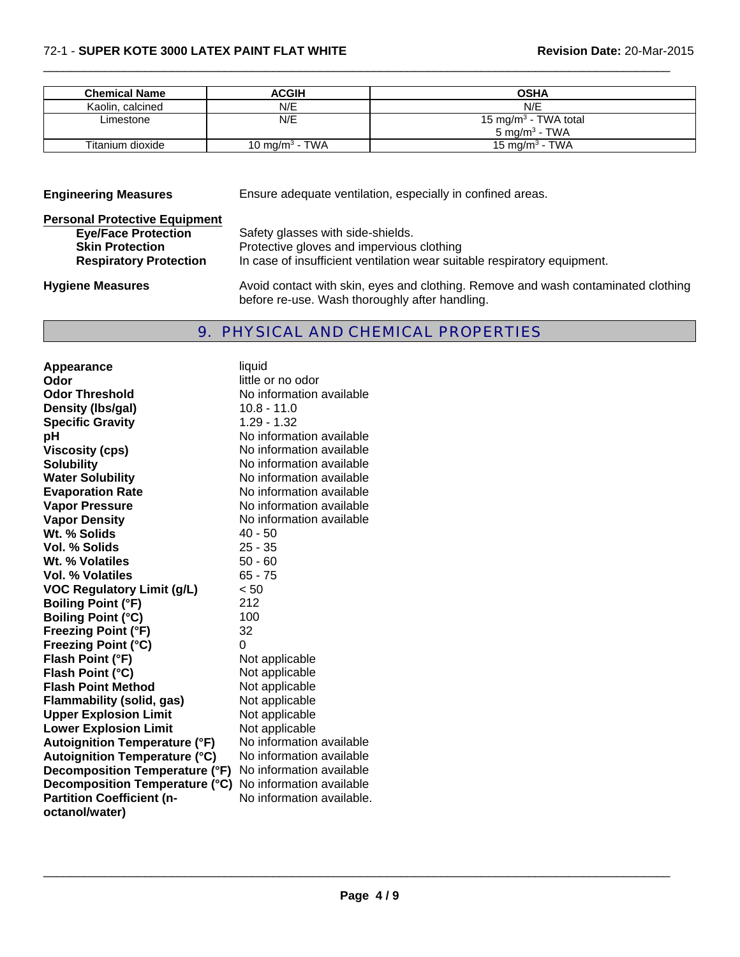| <b>Chemical Name</b> | <b>ACGIH</b>               | <b>OSHA</b>                                                   |
|----------------------|----------------------------|---------------------------------------------------------------|
| Kaolin, calcined     | N/E                        | N/E                                                           |
| Limestone            | N/E                        | 15 mg/m <sup>3</sup> - TWA total<br>5 mg/m <sup>3</sup> - TWA |
| Titanium dioxide     | 10 mg/m <sup>3</sup> - TWA | 15 mg/m <sup>3</sup> - TWA                                    |

 $\Box$ 

| <b>Engineering Measures</b>                                        | Ensure adequate ventilation, especially in confined areas.                                                                          |
|--------------------------------------------------------------------|-------------------------------------------------------------------------------------------------------------------------------------|
| <b>Personal Protective Equipment</b><br><b>Eye/Face Protection</b> | Safety glasses with side-shields.                                                                                                   |
| <b>Skin Protection</b><br><b>Respiratory Protection</b>            | Protective gloves and impervious clothing<br>In case of insufficient ventilation wear suitable respiratory equipment.               |
| <b>Hygiene Measures</b>                                            | Avoid contact with skin, eyes and clothing. Remove and wash contaminated clothing<br>before re-use. Wash thoroughly after handling. |

# 9. PHYSICAL AND CHEMICAL PROPERTIES

| <b>Appearance</b>                    | liquid                    |
|--------------------------------------|---------------------------|
| Odor                                 | little or no odor         |
| <b>Odor Threshold</b>                | No information available  |
| Density (Ibs/gal)                    | 10.8 - 11.0               |
| <b>Specific Gravity</b>              | 1.29 - 1.32               |
| рH                                   | No information available  |
| <b>Viscosity (cps)</b>               | No information available  |
| <b>Solubility</b>                    | No information available  |
| <b>Water Solubility</b>              | No information available  |
| <b>Evaporation Rate</b>              | No information available  |
| <b>Vapor Pressure</b>                | No information available  |
| <b>Vapor Density</b>                 | No information available  |
| Wt. % Solids                         | $40 - 50$                 |
| <b>Vol. % Solids</b>                 | $25 - 35$                 |
| Wt. % Volatiles                      | $50 - 60$                 |
| Vol. % Volatiles                     | $65 - 75$                 |
| <b>VOC Regulatory Limit (g/L)</b>    | < 50                      |
| <b>Boiling Point (°F)</b>            | 212                       |
| <b>Boiling Point (°C)</b>            | 100                       |
| <b>Freezing Point (°F)</b>           | 32                        |
| <b>Freezing Point (°C)</b>           | 0                         |
| Flash Point (°F)                     | Not applicable            |
| Flash Point (°C)                     | Not applicable            |
| <b>Flash Point Method</b>            | Not applicable            |
| <b>Flammability (solid, gas)</b>     | Not applicable            |
| <b>Upper Explosion Limit</b>         | Not applicable            |
| <b>Lower Explosion Limit</b>         | Not applicable            |
| <b>Autoignition Temperature (°F)</b> | No information available  |
| <b>Autoignition Temperature (°C)</b> | No information available  |
| Decomposition Temperature (°F)       | No information available  |
| Decomposition Temperature (°C)       | No information available  |
| <b>Partition Coefficient (n-</b>     | No information available. |
| octanol/water)                       |                           |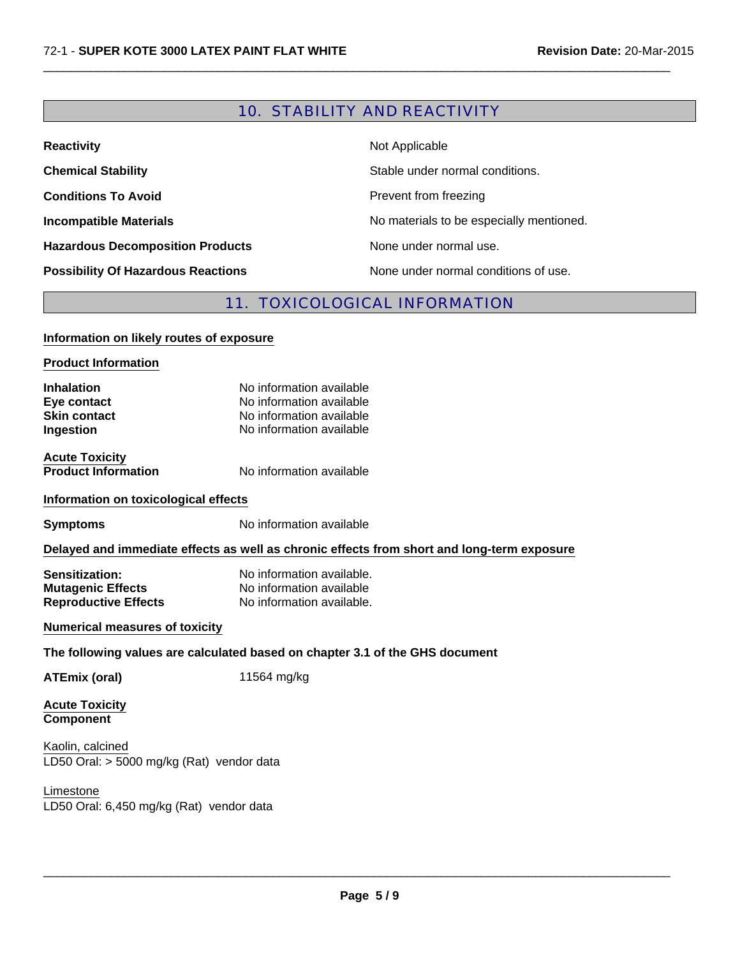# 10. STABILITY AND REACTIVITY

 $\Box$ 

| <b>Reactivity</b>                         | Not Applicable                           |
|-------------------------------------------|------------------------------------------|
| <b>Chemical Stability</b>                 | Stable under normal conditions.          |
| <b>Conditions To Avoid</b>                | Prevent from freezing                    |
| <b>Incompatible Materials</b>             | No materials to be especially mentioned. |
| <b>Hazardous Decomposition Products</b>   | None under normal use.                   |
| <b>Possibility Of Hazardous Reactions</b> | None under normal conditions of use.     |

## 11. TOXICOLOGICAL INFORMATION

#### **Information on likely routes of exposure**

#### **Product Information**

| <b>Inhalation</b>   | No information available |
|---------------------|--------------------------|
| Eye contact         | No information available |
| <b>Skin contact</b> | No information available |
| Ingestion           | No information available |
|                     |                          |

**Acute Toxicity<br>Product Information** 

**No information available** 

## **Information on toxicological effects**

**Symptoms** No information available

## **Delayed and immediate effects as well as chronic effects from short and long-term exposure**

**Sensitization:** No information available. **Mutagenic Effects** No information available<br> **Reproductive Effects** No information available. **Reproductive Effects** 

## **Numerical measures of toxicity**

## **The following values are calculated based on chapter 3.1 of the GHS document**

**ATEmix (oral)** 11564 mg/kg

**Acute Toxicity Component**

LD50 Oral: > 5000 mg/kg (Rat) vendor data Kaolin, calcined

Limestone LD50 Oral: 6,450 mg/kg (Rat) vendor data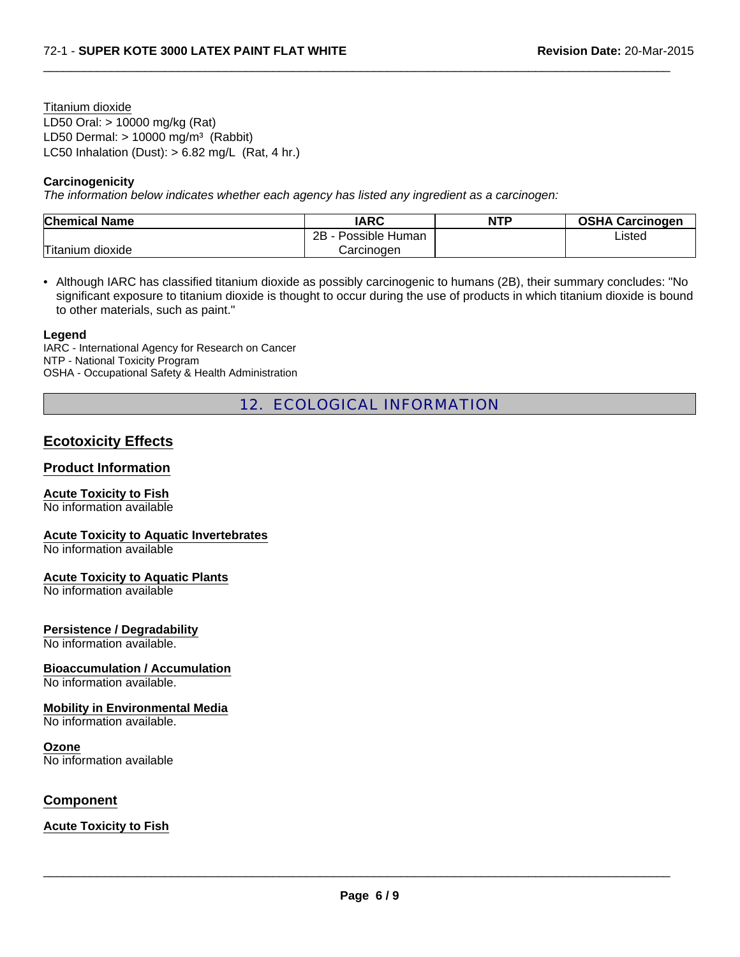LD50 Oral: > 10000 mg/kg (Rat) LD50 Dermal:  $> 10000$  mg/m<sup>3</sup> (Rabbit) Titanium dioxide LC50 Inhalation (Dust): > 6.82 mg/L (Rat, 4 hr.)

## **Carcinogenicity**

*The information below indicates whether each agency has listed any ingredient as a carcinogen:*

| <b>Chemical Name</b> | <b>IARC</b>             | <b>NTP</b> | <b>OSHA Carcinogen</b> |
|----------------------|-------------------------|------------|------------------------|
|                      | Possible Human<br>-2R - |            | Listed                 |
| Titanium dioxide     | Carcinoɑen              |            |                        |

 $\Box$ 

• Although IARC has classified titanium dioxide as possibly carcinogenic to humans (2B), their summary concludes: "No significant exposure to titanium dioxide is thought to occur during the use of products in which titanium dioxide is bound to other materials, such as paint."

#### **Legend**

IARC - International Agency for Research on Cancer NTP - National Toxicity Program OSHA - Occupational Safety & Health Administration

# 12. ECOLOGICAL INFORMATION

## **Ecotoxicity Effects**

## **Product Information**

## **Acute Toxicity to Fish**

No information available

## **Acute Toxicity to Aquatic Invertebrates**

No information available

## **Acute Toxicity to Aquatic Plants**

No information available

## **Persistence / Degradability**

No information available.

## **Bioaccumulation / Accumulation**

No information available.

#### **Mobility in Environmental Media**

No information available.

#### **Ozone**

No information available

## **Component**

**Acute Toxicity to Fish**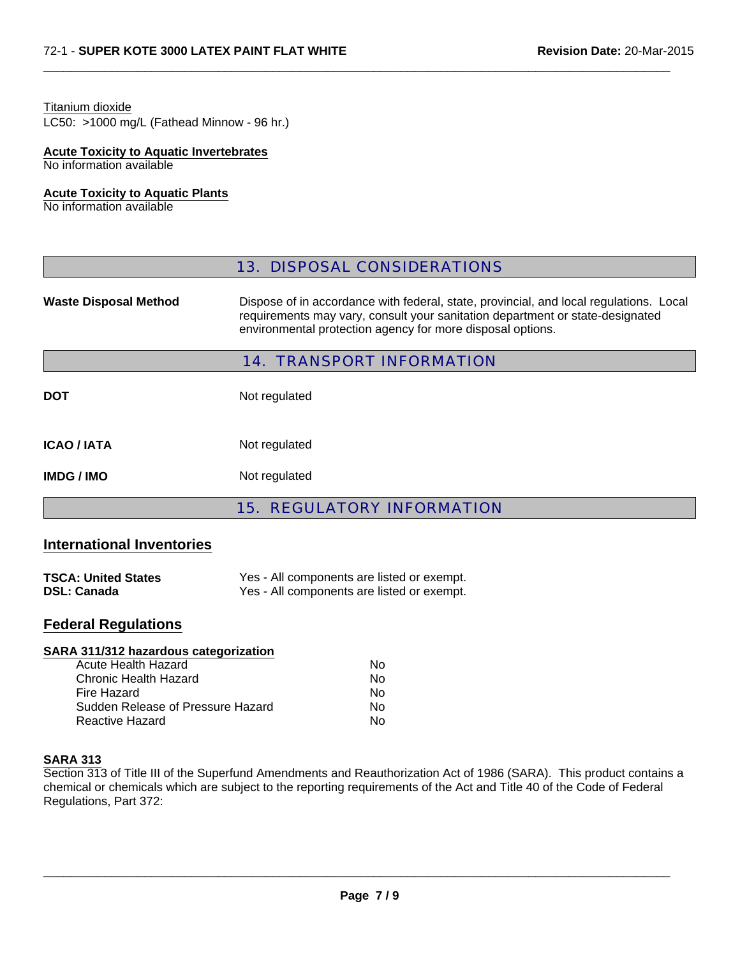## Titanium dioxide

LC50: >1000 mg/L (Fathead Minnow - 96 hr.)

# **Acute Toxicity to Aquatic Invertebrates**

No information available

## **Acute Toxicity to Aquatic Plants**

No information available

|                              | <b>13. DISPOSAL CONSIDERATIONS</b>                                                                                                                                                                                                    |  |
|------------------------------|---------------------------------------------------------------------------------------------------------------------------------------------------------------------------------------------------------------------------------------|--|
| <b>Waste Disposal Method</b> | Dispose of in accordance with federal, state, provincial, and local regulations. Local<br>requirements may vary, consult your sanitation department or state-designated<br>environmental protection agency for more disposal options. |  |
|                              | <b>14. TRANSPORT INFORMATION</b>                                                                                                                                                                                                      |  |
| <b>DOT</b>                   | Not regulated                                                                                                                                                                                                                         |  |
| <b>ICAO / IATA</b>           | Not regulated                                                                                                                                                                                                                         |  |
| <b>IMDG / IMO</b>            | Not regulated                                                                                                                                                                                                                         |  |
|                              |                                                                                                                                                                                                                                       |  |

 $\Box$ 

# 15. REGULATORY INFORMATION

## **International Inventories**

| <b>TSCA: United States</b> | Yes - All components are listed or exempt. |
|----------------------------|--------------------------------------------|
| <b>DSL: Canada</b>         | Yes - All components are listed or exempt. |

# **Federal Regulations**

| No |
|----|
| No |
| No |
| No |
| No |
|    |

## **SARA 313**

Section 313 of Title III of the Superfund Amendments and Reauthorization Act of 1986 (SARA). This product contains a chemical or chemicals which are subject to the reporting requirements of the Act and Title 40 of the Code of Federal Regulations, Part 372: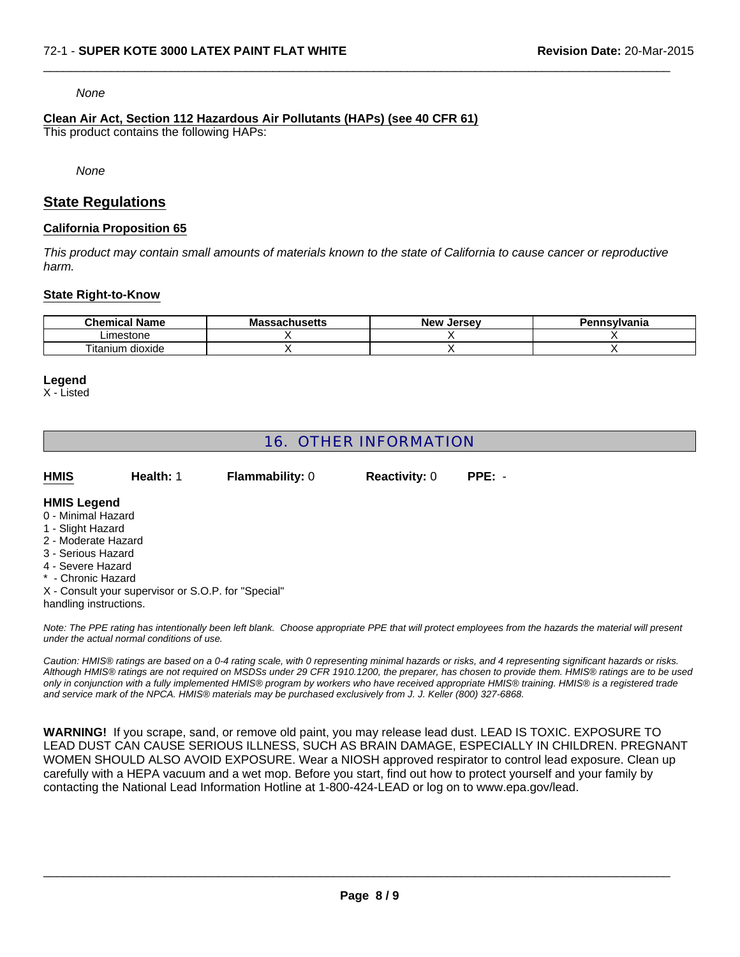#### *None*

## **Clean Air Act, Section 112 Hazardous Air Pollutants (HAPs) (see 40 CFR 61)**

This product contains the following HAPs:

*None*

## **State Regulations**

## **California Proposition 65**

*This product may contain small amounts of materials known to the state of California to cause cancer or reproductive harm.*

 $\Box$ 

## **State Right-to-Know**

| <b>Chemical Name</b>  | <b>Massachusetts</b> | New<br>Jersev | Pennsylvania |
|-----------------------|----------------------|---------------|--------------|
| Limestone             |                      |               |              |
| --<br>itanium dioxide |                      |               |              |

## **Legend**

X - Listed

## 16. OTHER INFORMATION

| <b>HMIS</b> | Health: 1 | <b>Flammability: 0</b> | <b>Reactivity: 0</b> | $PPE: -$ |
|-------------|-----------|------------------------|----------------------|----------|
|             |           |                        |                      |          |

#### **HMIS Legend**

- 0 Minimal Hazard
- 1 Slight Hazard
- 2 Moderate Hazard
- 3 Serious Hazard
- 4 Severe Hazard
- \* Chronic Hazard
- X Consult your supervisor or S.O.P. for "Special"
- handling instructions.

*Note: The PPE rating has intentionally been left blank. Choose appropriate PPE that will protect employees from the hazards the material will present under the actual normal conditions of use.*

*Caution: HMIS® ratings are based on a 0-4 rating scale, with 0 representing minimal hazards or risks, and 4 representing significant hazards or risks. Although HMIS® ratings are not required on MSDSs under 29 CFR 1910.1200, the preparer, has chosen to provide them. HMIS® ratings are to be used only in conjunction with a fully implemented HMIS® program by workers who have received appropriate HMIS® training. HMIS® is a registered trade and service mark of the NPCA. HMIS® materials may be purchased exclusively from J. J. Keller (800) 327-6868.*

**WARNING!** If you scrape, sand, or remove old paint, you may release lead dust. LEAD IS TOXIC. EXPOSURE TO LEAD DUST CAN CAUSE SERIOUS ILLNESS, SUCH AS BRAIN DAMAGE, ESPECIALLY IN CHILDREN. PREGNANT WOMEN SHOULD ALSO AVOID EXPOSURE. Wear a NIOSH approved respirator to control lead exposure. Clean up carefully with a HEPA vacuum and a wet mop. Before you start, find out how to protect yourself and your family by contacting the National Lead Information Hotline at 1-800-424-LEAD or log on to www.epa.gov/lead.

 $\_$  ,  $\_$  ,  $\_$  ,  $\_$  ,  $\_$  ,  $\_$  ,  $\_$  ,  $\_$  ,  $\_$  ,  $\_$  ,  $\_$  ,  $\_$  ,  $\_$  ,  $\_$  ,  $\_$  ,  $\_$  ,  $\_$  ,  $\_$  ,  $\_$  ,  $\_$  ,  $\_$  ,  $\_$  ,  $\_$  ,  $\_$  ,  $\_$  ,  $\_$  ,  $\_$  ,  $\_$  ,  $\_$  ,  $\_$  ,  $\_$  ,  $\_$  ,  $\_$  ,  $\_$  ,  $\_$  ,  $\_$  ,  $\_$  ,